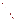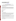# **Consumer Factsheet on: ORTHO-DICHLOROBENZENE (o-DCB)**

# [List of Contaminants](http://www.epa.gov/safewater/hfacts.html)

## As part of the Drinking Water and Health pages, this fact sheet is part of a larger publication: **National Primary Drinking Water Regulations**

 States Environmental Protection Agency (EPA). This is a factsheet about a chemical that may be found in some public or private drinking water supplies. It may cause health problems if found in amounts greater than the health standard set by the United

## **What is o-DCB and how is it used?**

Ortho-dichlorobenzene, (o-DCB) is a colorless organic liquid with a pleasant, aromatic odor. The greatest use of o-dichlorobenzene is as a chemical intermediate for making agricultural chemicals, primarily herbicides. Other present and past uses include: solvent for waxes, gums, resins, wood preservatives, paints; insecticide for termites and borers; in making dyes; as a coolant, deodorizer, degreaser.

 The list of trade names given below may help you find out whether you are using this chemical at home or work.

#### **Trade Names and Synonyms:**

ortho-Dichlorobenzol **Dilantin** Dowtherm E Chloroben Dilatin DB

#### **Why is o-DCB being Regulated?**

 In 1974, Congress passed the Safe Drinking Water Act. This law requires EPA to determine safe levels of based solely on possible health risks and exposure, are called Maximum Contaminant Level Goals. chemicals in drinking water which do or may cause health problems. These non-enforceable levels,

 protection would not cause any of the potential health problems described below. The MCLG for o-DCB has been set at 0.6 parts per million (ppm) because EPA believes this level of

 Based on this MCLG, EPA has set an enforceable standard called a Maximum Contaminant Level (MCL). MCLs are set as close to the MCLGs as possible, considering the ability of public water systems to detect and remove contaminants using suitable treatment technologies.

 it occur in drinking water. The MCL has been set at 0.6 ppm because EPA believes, given present technology and resources, this is the lowest level to which water systems can reasonably be required to remove this contaminant should

These drinking water standards and the regulations for ensuring these standards are met, are called National Primary Drinking Water Regulations. All public water supplies must abide by these regulations.

#### **What are the Health Effects?**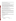Short-term: o-DCB is not known to cause any health problems when people are exposed to it at levels above the MCL for relatively short periods of time.

Long-term: o-DCB has the potential to cause the following effects from a lifetime exposure at levels above the MCL: damage to the nervous system, liver, kidneys and blood cells.

#### **How much o-DCB is produced and released to the environment?**

Production of o-DCB was estimated at 43 million lbs. in 1991. Its use in manufacturing and solvents may be significant sources of discharges into water. Dichlorobenzenes also enter water systems from the use of o-DCB as a deodorant in industrial wastewater treatment. Chemical waste dump leachates and industrial wastewater are the major source of pollution of dichlorobenzenes to Lake Ontario.

 From 1987 to 1993, according to the Toxic Release Inventory, o-DCB releases to land and water totalled 248 million lbs., mostly to land. These releases were primarily form organic chemical manufacturing industries. The largest releases occurred in New Jersey.

#### **What happens to o-DCB when it is released to the environment?**

 leaching can occur. It will evaporate from soil or surface water and will be broken down by microbes. o- DCB is likely to accumulate in fish and other aquatic life. If released to soil, o-DCB can bind to soil particles. However, its detection in groundwater indicates that

#### **How will o-DCB be Detected in and Removed from My Drinking Water?**

 supplier to collect water samples every 3 months for one year and analyze them to find out if o-DCB is contaminant. The regulation for o-DCB became effective in 1992. Between 1993 and 1995, EPA required your water present above 0.5 ppb. If it is present above this level, the system must continue to monitor this

 Packed Tower Aeration. If contaminant levels are found to be consistently above the MCL, your water supplier must take steps to reduce the amount of o-DCB so that it is consistently below that level. The following treatment methods have been approved by EPA for removing o-DCB: Granular activated charcoal in combination with

#### **How will I know if o-DCB is in my drinking water?**

 required to prevent serious risks to public health. If the levels of o-DCB exceed the MCL, 0.6 ppm, the system must notify the public via newspapers, radio, TV and other means. Additional actions, such as providing alternative drinking water supplies, may be

#### **Drinking Water Standards:**

Mclg: 0.6 ppm

Mcl: 0.6 ppm

# **o-DCB Releases to Water and Land, 1987 to 1993 (in pounds): Water Land**

 **Top Five States \* TOTALS (in pounds) 75,967 171,663**  NJ 19,602 165,661